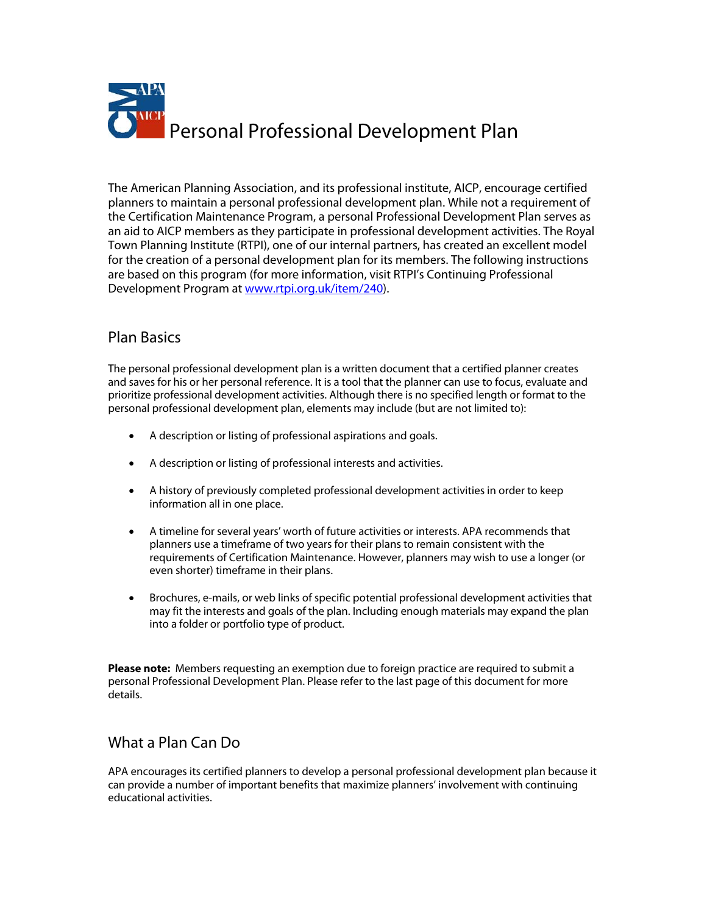

The American Planning Association, and its professional institute, AICP, encourage certified planners to maintain a personal professional development plan. While not a requirement of the Certification Maintenance Program, a personal Professional Development Plan serves as an aid to AICP members as they participate in professional development activities. The Royal Town Planning Institute (RTPI), one of our internal partners, has created an excellent model for the creation of a personal development plan for its members. The following instructions are based on this program (for more information, visit RTPI's Continuing Professional Development Program at www.rtpi.org.uk/item/240).

## Plan Basics

The personal professional development plan is a written document that a certified planner creates and saves for his or her personal reference. It is a tool that the planner can use to focus, evaluate and prioritize professional development activities. Although there is no specified length or format to the personal professional development plan, elements may include (but are not limited to):

- A description or listing of professional aspirations and goals.
- A description or listing of professional interests and activities.
- A history of previously completed professional development activities in order to keep information all in one place.
- A timeline for several years' worth of future activities or interests. APA recommends that planners use a timeframe of two years for their plans to remain consistent with the requirements of Certification Maintenance. However, planners may wish to use a longer (or even shorter) timeframe in their plans.
- Brochures, e-mails, or web links of specific potential professional development activities that may fit the interests and goals of the plan. Including enough materials may expand the plan into a folder or portfolio type of product.

**Please note:** Members requesting an exemption due to foreign practice are required to submit a personal Professional Development Plan. Please refer to the last page of this document for more details.

## What a Plan Can Do

APA encourages its certified planners to develop a personal professional development plan because it can provide a number of important benefits that maximize planners' involvement with continuing educational activities.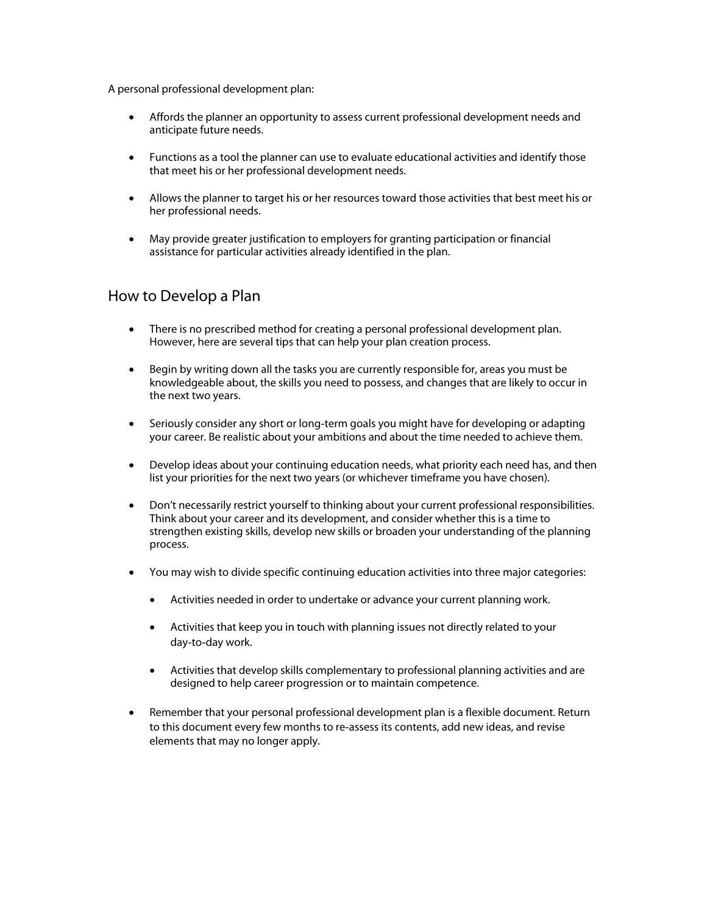A personal professional development plan:

- Affords the planner an opportunity to assess current professional development needs and anticipate future needs.
- Functions as a tool the planner can use to evaluate educational activities and identify those that meet his or her professional development needs.
- Allows the planner to target his or her resources toward those activities that best meet his or her professional needs.
- May provide greater justification to employers for granting participation or financial assistance for particular activities already identified in the plan.

## How to Develop a Plan

- There is no prescribed method for creating a personal professional development plan. However, here are several tips that can help your plan creation process.
- Begin by writing down all the tasks you are currently responsible for, areas you must be knowledgeable about, the skills you need to possess, and changes that are likely to occur in the next two years.
- Seriously consider any short or long-term goals you might have for developing or adapting your career. Be realistic about your ambitions and about the time needed to achieve them.
- Develop ideas about your continuing education needs, what priority each need has, and then list your priorities for the next two years (or whichever timeframe you have chosen).
- Don't necessarily restrict yourself to thinking about your current professional responsibilities. Think about your career and its development, and consider whether this is a time to strengthen existing skills, develop new skills or broaden your understanding of the planning process.
- You may wish to divide specific continuing education activities into three major categories:
	- Activities needed in order to undertake or advance your current planning work.
	- Activities that keep you in touch with planning issues not directly related to your day‐to‐day work.
	- Activities that develop skills complementary to professional planning activities and are designed to help career progression or to maintain competence.
- Remember that your personal professional development plan is a flexible document. Return to this document every few months to re‐assess its contents, add new ideas, and revise elements that may no longer apply.